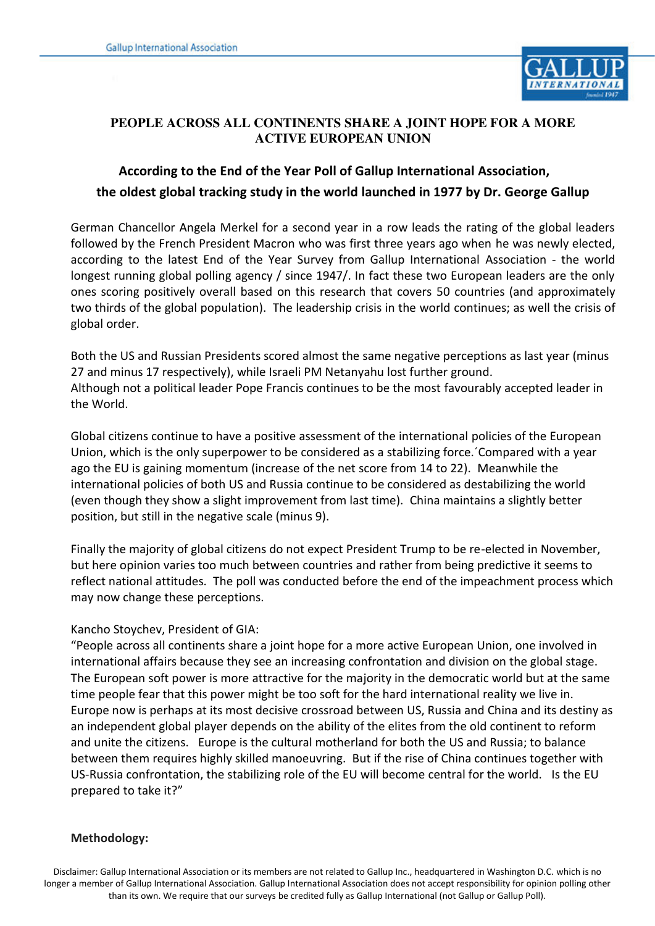

### **PEOPLE ACROSS ALL CONTINENTS SHARE A JOINT HOPE FOR A MORE ACTIVE EUROPEAN UNION**

# **According to the End of the Year Poll of Gallup International Association, the oldest global tracking study in the world launched in 1977 by Dr. George Gallup**

German Chancellor Angela Merkel for a second year in a row leads the rating of the global leaders followed by the French President Macron who was first three years ago when he was newly elected, according to the latest End of the Year Survey from Gallup International Association - the world longest running global polling agency / since 1947/. In fact these two European leaders are the only ones scoring positively overall based on this research that covers 50 countries (and approximately two thirds of the global population). The leadership crisis in the world continues; as well the crisis of global order.

Both the US and Russian Presidents scored almost the same negative perceptions as last year (minus 27 and minus 17 respectively), while Israeli PM Netanyahu lost further ground. Although not a political leader Pope Francis continues to be the most favourably accepted leader in the World.

Global citizens continue to have a positive assessment of the international policies of the European Union, which is the only superpower to be considered as a stabilizing force.´Compared with a year ago the EU is gaining momentum (increase of the net score from 14 to 22). Meanwhile the international policies of both US and Russia continue to be considered as destabilizing the world (even though they show a slight improvement from last time). China maintains a slightly better position, but still in the negative scale (minus 9).

Finally the majority of global citizens do not expect President Trump to be re-elected in November, but here opinion varies too much between countries and rather from being predictive it seems to reflect national attitudes. The poll was conducted before the end of the impeachment process which may now change these perceptions.

## Kancho Stoychev, President of GIA:

"People across all continents share a joint hope for a more active European Union, one involved in international affairs because they see an increasing confrontation and division on the global stage. The European soft power is more attractive for the majority in the democratic world but at the same time people fear that this power might be too soft for the hard international reality we live in. Europe now is perhaps at its most decisive crossroad between US, Russia and China and its destiny as an independent global player depends on the ability of the elites from the old continent to reform and unite the citizens. Europe is the cultural motherland for both the US and Russia; to balance between them requires highly skilled manoeuvring. But if the rise of China continues together with US-Russia confrontation, the stabilizing role of the EU will become central for the world. Is the EU prepared to take it?"

## **Methodology:**

Disclaimer: Gallup International Association or its members are not related to Gallup Inc., headquartered in Washington D.C. which is no longer a member of Gallup International Association. Gallup International Association does not accept responsibility for opinion polling other than its own. We require that our surveys be credited fully as Gallup International (not Gallup or Gallup Poll).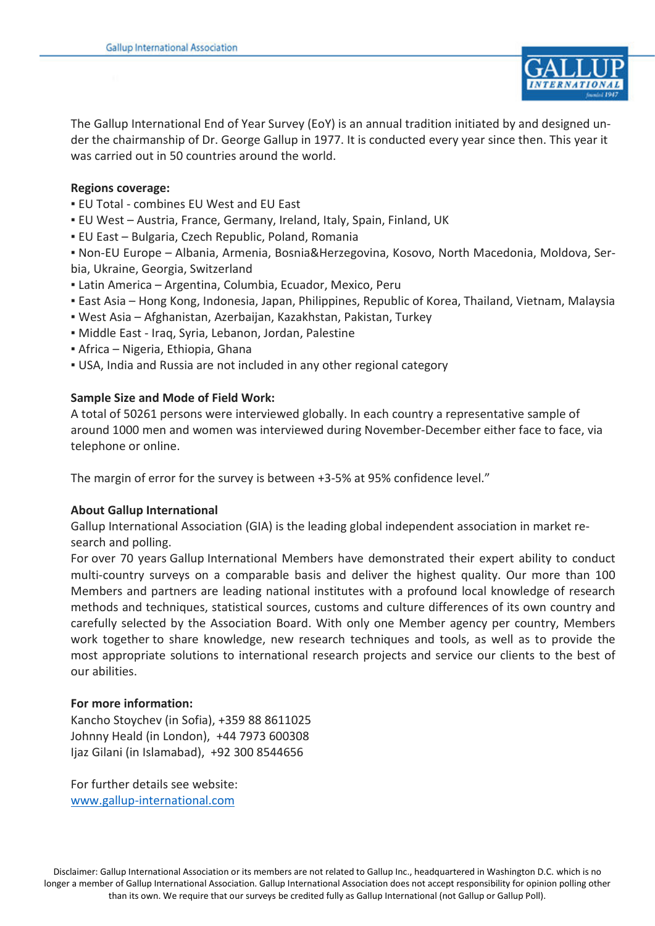

The Gallup International End of Year Survey (EoY) is an annual tradition initiated by and designed under the chairmanship of Dr. George Gallup in 1977. It is conducted every year since then. This year it was carried out in 50 countries around the world.

#### **Regions coverage:**

- EU Total combines EU West and EU East
- EU West Austria, France, Germany, Ireland, Italy, Spain, Finland, UK
- EU East Bulgaria, Czech Republic, Poland, Romania

▪ Non-EU Europe – Albania, Armenia, Bosnia&Herzegovina, Kosovo, North Macedonia, Moldova, Serbia, Ukraine, Georgia, Switzerland

- Latin America Argentina, Columbia, Ecuador, Mexico, Peru
- East Asia Hong Kong, Indonesia, Japan, Philippines, Republic of Korea, Thailand, Vietnam, Malaysia
- West Asia Afghanistan, Azerbaijan, Kazakhstan, Pakistan, Turkey
- Middle East Iraq, Syria, Lebanon, Jordan, Palestine
- Africa Nigeria, Ethiopia, Ghana
- USA, India and Russia are not included in any other regional category

#### **Sample Size and Mode of Field Work:**

A total of 50261 persons were interviewed globally. In each country a representative sample of around 1000 men and women was interviewed during November-December either face to face, via telephone or online.

The margin of error for the survey is between +3-5% at 95% confidence level."

#### **About Gallup International**

Gallup International Association (GIA) is the leading global independent association in market research and polling.

For over 70 years Gallup International Members have demonstrated their expert ability to conduct multi-country surveys on a comparable basis and deliver the highest quality. Our more than 100 Members and partners are leading national institutes with a profound local knowledge of research methods and techniques, statistical sources, customs and culture differences of its own country and carefully selected by the Association Board. With only one Member agency per country, Members work together to share knowledge, new research techniques and tools, as well as to provide the most appropriate solutions to international research projects and service our clients to the best of our abilities.

#### **For more information:**

Kancho Stoychev (in Sofia), +359 88 8611025 Johnny Heald (in London), +44 7973 600308 Ijaz Gilani (in Islamabad), +92 300 8544656

For further details see website: [www.gallup-international.com](http://www.gallup-international.com/)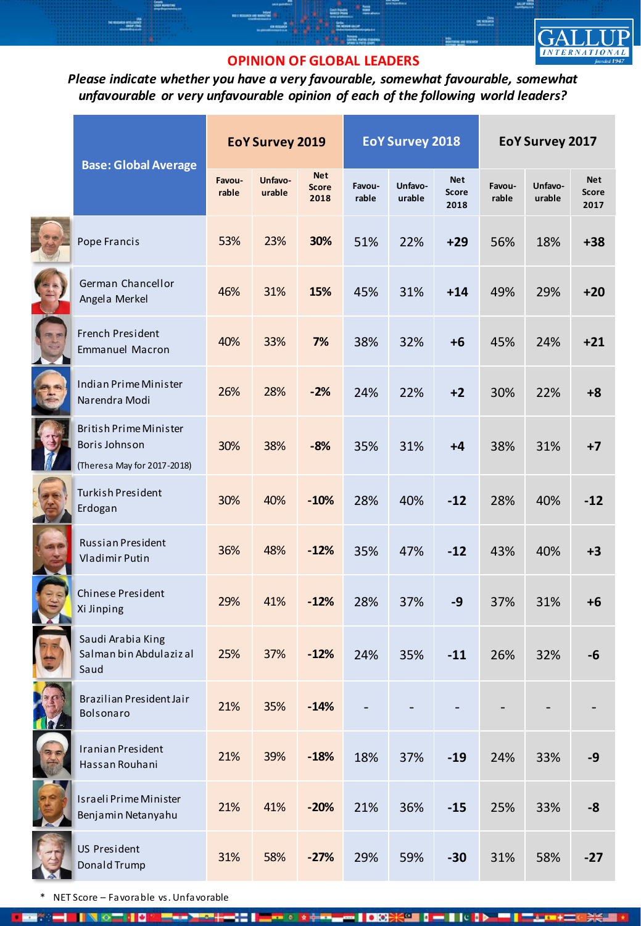

**DE BORG** 

## **OPINION OF GLOBAL LEADERS**

*Please indicate whether you have a very favourable, somewhat favourable, somewhat unfavourable or very unfavourable opinion of each of the following world leaders?*

|  | <b>Base: Global Average</b>                                            | <b>EoY Survey 2019</b> |                   |                                    | <b>EoY Survey 2018</b> |                   |                                    | EoY Survey 2017 |                   |                                    |
|--|------------------------------------------------------------------------|------------------------|-------------------|------------------------------------|------------------------|-------------------|------------------------------------|-----------------|-------------------|------------------------------------|
|  |                                                                        | Favou-<br>rable        | Unfavo-<br>urable | <b>Net</b><br><b>Score</b><br>2018 | Favou-<br>rable        | Unfavo-<br>urable | <b>Net</b><br><b>Score</b><br>2018 | Favou-<br>rable | Unfavo-<br>urable | <b>Net</b><br><b>Score</b><br>2017 |
|  | Pope Francis                                                           | 53%                    | 23%               | 30%                                | 51%                    | 22%               | $+29$                              | 56%             | 18%               | $+38$                              |
|  | German Chancellor<br>Angela Merkel                                     | 46%                    | 31%               | 15%                                | 45%                    | 31%               | $+14$                              | 49%             | 29%               | $+20$                              |
|  | French President<br><b>Emmanuel Macron</b>                             | 40%                    | 33%               | 7%                                 | 38%                    | 32%               | $+6$                               | 45%             | 24%               | $+21$                              |
|  | Indian Prime Minister<br>Narendra Modi                                 | 26%                    | 28%               | $-2%$                              | 24%                    | 22%               | $+2$                               | 30%             | 22%               | $+8$                               |
|  | British Prime Minister<br>Boris Johnson<br>(Theresa May for 2017-2018) | 30%                    | 38%               | $-8%$                              | 35%                    | 31%               | $+4$                               | 38%             | 31%               | $+7$                               |
|  | <b>Turkish President</b><br>Erdogan                                    | 30%                    | 40%               | $-10%$                             | 28%                    | 40%               | $-12$                              | 28%             | 40%               | $-12$                              |
|  | Russian President<br>Vladimir Putin                                    | 36%                    | 48%               | $-12%$                             | 35%                    | 47%               | $-12$                              | 43%             | 40%               | $+3$                               |
|  | Chinese President<br>Xi Jinping                                        | 29%                    | 41%               | $-12%$                             | 28%                    | 37%               | $-9$                               | 37%             | 31%               | $+6$                               |
|  | Saudi Arabia King<br>Salman bin Abdulaziz al<br>Saud                   | 25%                    | 37%               | $-12%$                             | 24%                    | 35%               | $-11$                              | 26%             | 32%               | -6                                 |
|  | Brazilian President Jair<br>Bolsonaro                                  | 21%                    | 35%               | $-14%$                             |                        |                   |                                    |                 |                   |                                    |
|  | Iranian President<br>Hassan Rouhani                                    | 21%                    | 39%               | $-18%$                             | 18%                    | 37%               | $-19$                              | 24%             | 33%               | $-9$                               |
|  | Israeli Prime Minister<br>Benjamin Netanyahu                           | 21%                    | 41%               | $-20%$                             | 21%                    | 36%               | $-15$                              | 25%             | 33%               | -8                                 |
|  | US President<br>Donald Trump                                           | 31%                    | 58%               | $-27%$                             | 29%                    | 59%               | $-30$                              | 31%             | 58%               | $-27$                              |

**100** 

 $\bullet$  and  $\bullet$ 

42 O

**KOE 0 - 1 1 0 0 0 0** 

\* NET Score – Favorable vs. Unfavorable 810

**IN OFFICE**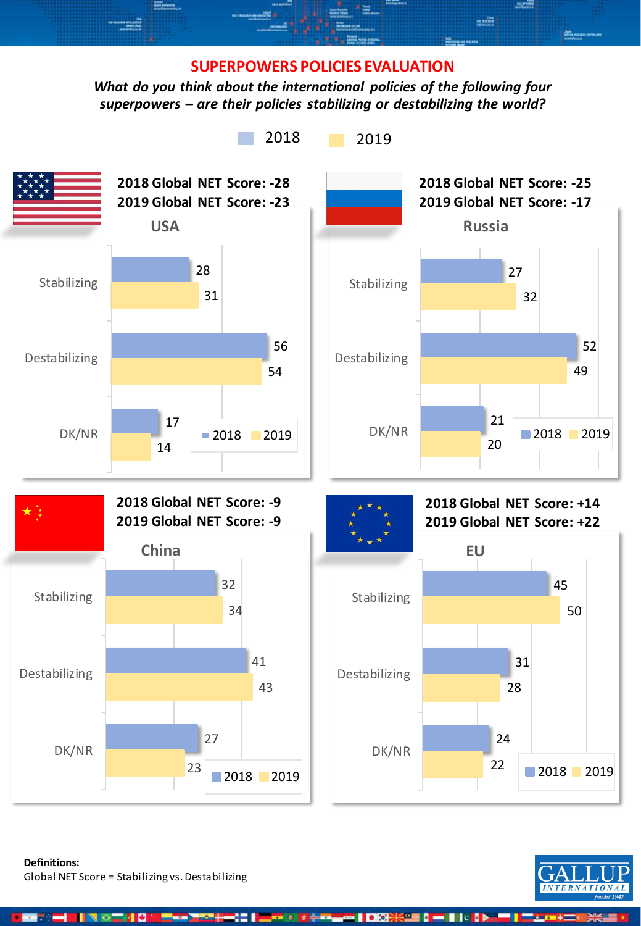### **SUPERPOWERS POLICIES EVALUATION**

**DE REILING** 

*What do you think about the international policies of the following four superpowers – are their policies stabilizing or destabilizing the world?*



**Definitions:**  Global NET Score = Stabilizing vs. Destabilizing

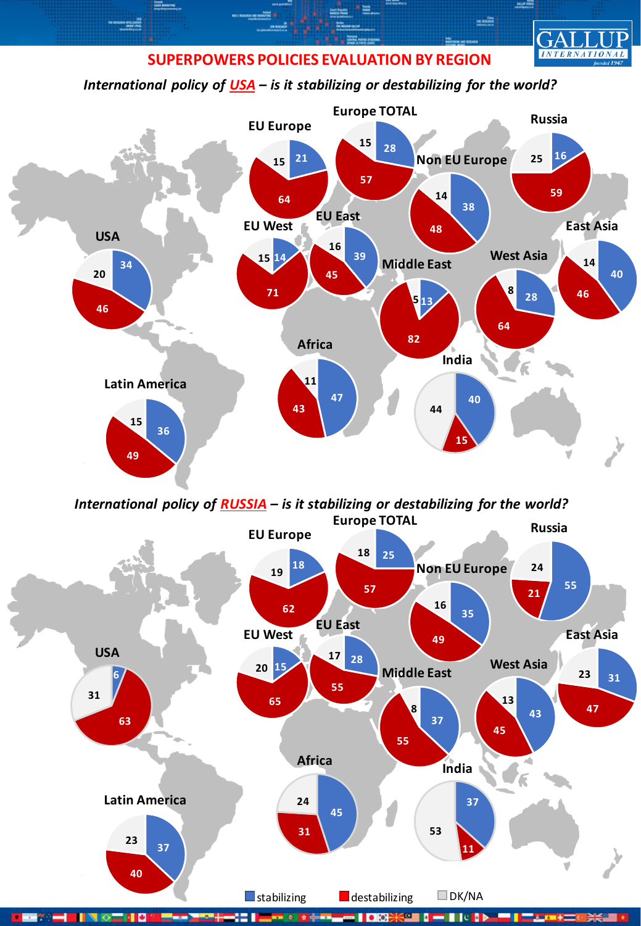## **SUPERPOWERS POLICIES EVALUATION BY REGION**

MOR STELLIGEND<br>DALLA COMB

**DOG**<br>RABITANG

**INTERNATIONAL** 

*International policy of USA – is it stabilizing or destabilizing for the world?*



*International policy of RUSSIA – is it stabilizing or destabilizing for the world?*



Пов **KOM DE DOM:** Пе 女装